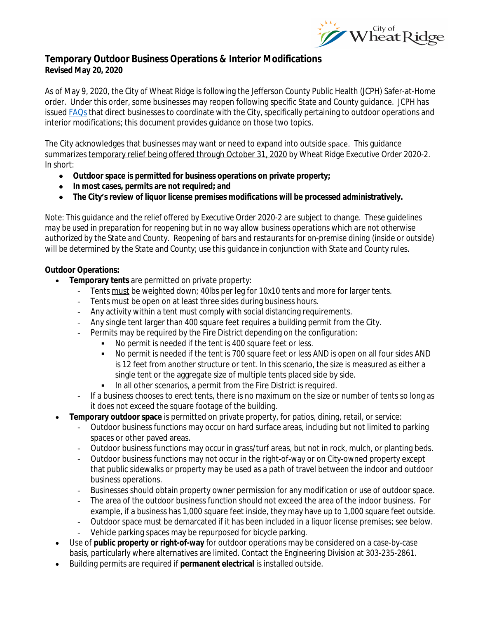

# **Temporary Outdoor Business Operations & Interior Modifications Revised May 20, 2020**

As of May 9, 2020, the City of Wheat Ridge is following the Jefferson County Public Health (JCPH) Safer-at-Home order. Under this order, some businesses may reopen following specific State and County guidance. JCPH has issued **FAQs** that direct businesses to coordinate with the City, specifically pertaining to outdoor operations and interior modifications; this document provides guidance on those two topics.

The City acknowledges that businesses may want or need to expand into outside space. This guidance summarizes temporary relief being offered through October 31, 2020 by Wheat Ridge Executive Order 2020-2. In short:

- **Outdoor space is permitted for business operations on private property;**
- **In most cases, permits are not required; and**
- **The City's review of liquor license premises modifications will be processed administratively.**

*Note*: *This guidance and the relief offered by Executive Order 2020-2 are subject to change. These guidelines may be used in preparation for reopening but in no way allow business operations which are not otherwise authorized by the State and County. Reopening of bars and restaurants for on-premise dining (inside or outside) will be determined by the State and County; use this guidance in conjunction with State and County rules.*

### **Outdoor Operations:**

- **Temporary tents** are permitted on private property:
	- Tents must be weighted down; 40lbs per leg for 10x10 tents and more for larger tents.
	- Tents must be open on at least three sides during business hours.
	- Any activity within a tent must comply with social distancing requirements.
	- Any single tent larger than 400 square feet requires a building permit from the City.
	- Permits may be required by the Fire District depending on the configuration:
		- No permit is needed if the tent is 400 square feet or less.
			- No permit is needed if the tent is 700 square feet or less *AND* is open on all four sides *AND* is 12 feet from another structure or tent. In this scenario, the size is measured as either a single tent or the aggregate size of multiple tents placed side by side.
			- In all other scenarios, a permit from the Fire District is required.
	- If a business chooses to erect tents, there is no maximum on the size or number of tents so long as it does not exceed the square footage of the building.
- **Temporary outdoor space** is permitted on private property, for patios, dining, retail, or service:
	- Outdoor business functions may occur on hard surface areas, including but not limited to parking spaces or other paved areas.
	- Outdoor business functions may occur in grass/turf areas, but not in rock, mulch, or planting beds.
	- Outdoor business functions may not occur in the right-of-way or on City-owned property except that public sidewalks or property may be used as a path of travel between the indoor and outdoor business operations.
	- Businesses should obtain property owner permission for any modification or use of outdoor space.
	- The area of the outdoor business function should not exceed the area of the indoor business. For example, if a business has 1,000 square feet inside, they may have up to 1,000 square feet outside.
	- Outdoor space must be demarcated if it has been included in a liquor license premises; see below.
	- Vehicle parking spaces may be repurposed for bicycle parking.
- Use of **public property or right-of-way** for outdoor operations may be considered on a case-by-case basis, particularly where alternatives are limited. Contact the Engineering Division at 303-235-2861.
- Building permits are required if **permanent electrical** is installed outside.